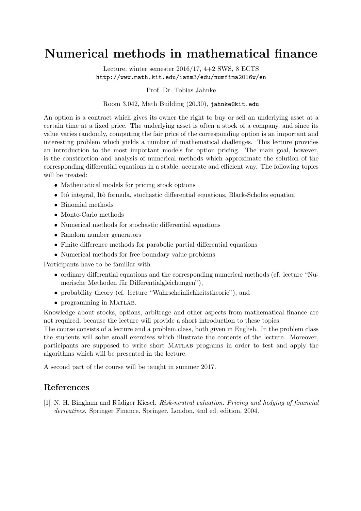## Numerical methods in mathematical finance

Lecture, winter semester 2016/17, 4+2 SWS, 8 ECTS http://www.math.kit.edu/ianm3/edu/numfima2016w/en

Prof. Dr. Tobias Jahnke

Room 3.042, Math Building (20.30), jahnke@kit.edu

An option is a contract which gives its owner the right to buy or sell an underlying asset at a certain time at a fixed price. The underlying asset is often a stock of a company, and since its value varies randomly, computing the fair price of the corresponding option is an important and interesting problem which yields a number of mathematical challenges. This lecture provides an introduction to the most important models for option pricing. The main goal, however, is the construction and analysis of numerical methods which approximate the solution of the corresponding differential equations in a stable, accurate and efficient way. The following topics will be treated:

- Mathematical models for pricing stock options
- Itô integral, Itô formula, stochastic differential equations, Black-Scholes equation
- Binomial methods
- Monte-Carlo methods
- Numerical methods for stochastic differential equations
- Random number generators
- Finite difference methods for parabolic partial differential equations
- Numerical methods for free boundary value problems

Participants have to be familiar with

- ordinary differential equations and the corresponding numerical methods (cf. lecture "Numerische Methoden für Differentialgleichungen"),
- probability theory (cf. lecture "Wahrscheinlichkeitstheorie"), and
- programming in MATLAB.

Knowledge about stocks, options, arbitrage and other aspects from mathematical finance are not required, because the lecture will provide a short introduction to these topics.

The course consists of a lecture and a problem class, both given in English. In the problem class the students will solve small exercises which illustrate the contents of the lecture. Moreover, participants are supposed to write short Matlab programs in order to test and apply the algorithms which will be presented in the lecture.

A second part of the course will be taught in summer 2017.

## References

[1] N. H. Bingham and Rüdiger Kiesel. *Risk-neutral valuation. Pricing and hedging of financial* derivatives. Springer Finance. Springer, London, 4nd ed. edition, 2004.